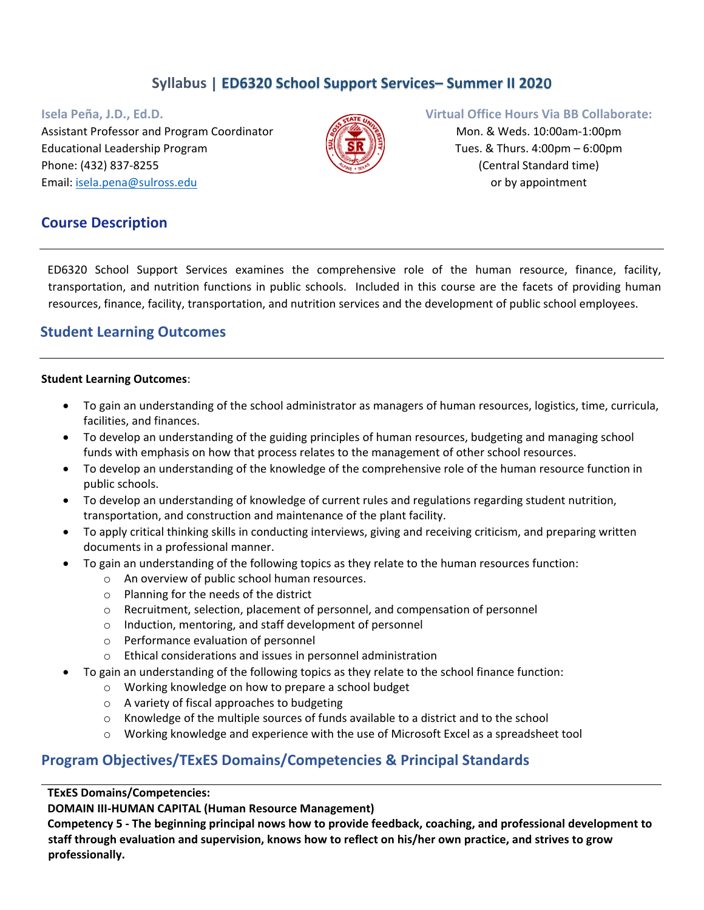# **Syllabus | ED6320 School Support Services– Summer II 2020**

Assistant Professor and Program Coordinator Mon. & Weds. 10:00am-1:00pm Educational Leadership Program  $\mathbb{R} \setminus \mathbb{S} \mathbb{R}$   $\mathbb{R} \setminus \mathbb{S}$  Tues. & Thurs. 4:00pm – 6:00pm Phone: (432) 837‐8255 (Central Standard time) Email: isela.pena@sulross.edu **or by appointment** 



#### **Isela Peña, J.D., Ed.D. Virtual Office Hours Via BB Collaborate:**

## **Course Description**

ED6320 School Support Services examines the comprehensive role of the human resource, finance, facility, transportation, and nutrition functions in public schools. Included in this course are the facets of providing human resources, finance, facility, transportation, and nutrition services and the development of public school employees.

# **Student Learning Outcomes**

#### **Student Learning Outcomes**:

- To gain an understanding of the school administrator as managers of human resources, logistics, time, curricula, facilities, and finances.
- To develop an understanding of the guiding principles of human resources, budgeting and managing school funds with emphasis on how that process relates to the management of other school resources.
- To develop an understanding of the knowledge of the comprehensive role of the human resource function in public schools.
- To develop an understanding of knowledge of current rules and regulations regarding student nutrition, transportation, and construction and maintenance of the plant facility.
- To apply critical thinking skills in conducting interviews, giving and receiving criticism, and preparing written documents in a professional manner.
- To gain an understanding of the following topics as they relate to the human resources function:
	- o An overview of public school human resources.
	- o Planning for the needs of the district
	- $\circ$  Recruitment, selection, placement of personnel, and compensation of personnel
	- o Induction, mentoring, and staff development of personnel
	- o Performance evaluation of personnel
	- o Ethical considerations and issues in personnel administration
- To gain an understanding of the following topics as they relate to the school finance function:
	- o Working knowledge on how to prepare a school budget
	- o A variety of fiscal approaches to budgeting
	- $\circ$  Knowledge of the multiple sources of funds available to a district and to the school
	- o Working knowledge and experience with the use of Microsoft Excel as a spreadsheet tool

## **Program Objectives/TExES Domains/Competencies & Principal Standards**

#### **TExES Domains/Competencies:**

**DOMAIN III‐HUMAN CAPITAL (Human Resource Management)**

**Competency 5 ‐ The beginning principal nows how to provide feedback, coaching, and professional development to** staff through evaluation and supervision, knows how to reflect on his/her own practice, and strives to grow **professionally.**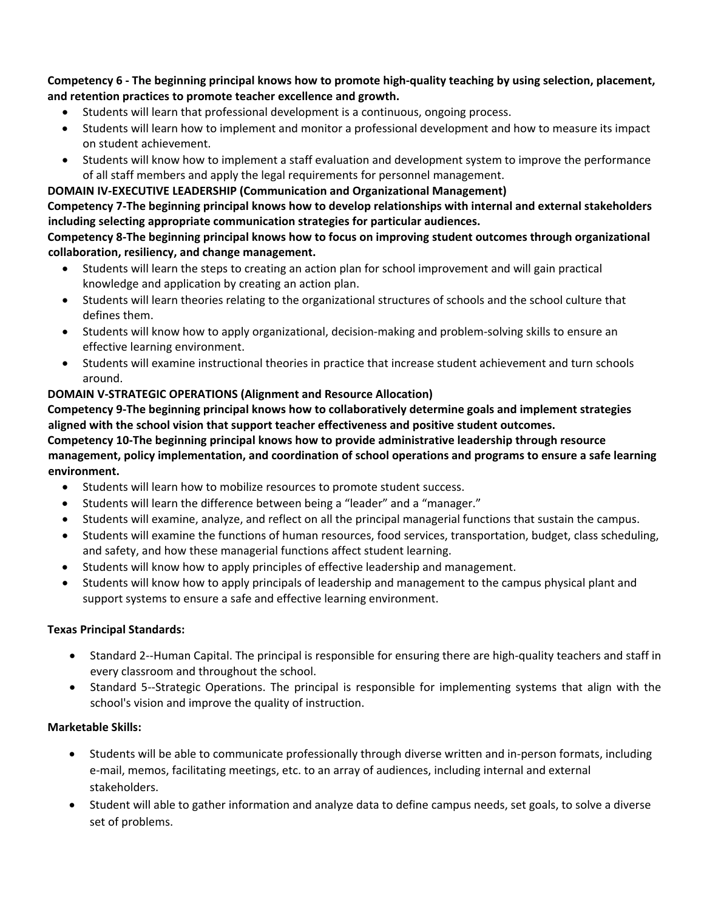Competency 6 - The beginning principal knows how to promote high-quality teaching by using selection, placement, **and retention practices to promote teacher excellence and growth.**

- Students will learn that professional development is a continuous, ongoing process.
- Students will learn how to implement and monitor a professional development and how to measure its impact on student achievement.
- Students will know how to implement a staff evaluation and development system to improve the performance of all staff members and apply the legal requirements for personnel management.

## **DOMAIN IV‐EXECUTIVE LEADERSHIP (Communication and Organizational Management)**

**Competency 7‐The beginning principal knows how to develop relationships with internal and external stakeholders including selecting appropriate communication strategies for particular audiences.**

**Competency 8‐The beginning principal knows how to focus on improving student outcomes through organizational collaboration, resiliency, and change management.**

- Students will learn the steps to creating an action plan for school improvement and will gain practical knowledge and application by creating an action plan.
- Students will learn theories relating to the organizational structures of schools and the school culture that defines them.
- Students will know how to apply organizational, decision-making and problem-solving skills to ensure an effective learning environment.
- Students will examine instructional theories in practice that increase student achievement and turn schools around.

## **DOMAIN V‐STRATEGIC OPERATIONS (Alignment and Resource Allocation)**

**Competency 9‐The beginning principal knows how to collaboratively determine goals and implement strategies aligned with the school vision that support teacher effectiveness and positive student outcomes. Competency 10‐The beginning principal knows how to provide administrative leadership through resource management, policy implementation, and coordination of school operations and programs to ensure a safe learning environment.**

- Students will learn how to mobilize resources to promote student success.
- Students will learn the difference between being a "leader" and a "manager."
- Students will examine, analyze, and reflect on all the principal managerial functions that sustain the campus.
- Students will examine the functions of human resources, food services, transportation, budget, class scheduling, and safety, and how these managerial functions affect student learning.
- Students will know how to apply principles of effective leadership and management.
- Students will know how to apply principals of leadership and management to the campus physical plant and support systems to ensure a safe and effective learning environment.

### **Texas Principal Standards:**

- Standard 2‐‐Human Capital. The principal is responsible for ensuring there are high‐quality teachers and staff in every classroom and throughout the school.
- Standard 5‐‐Strategic Operations. The principal is responsible for implementing systems that align with the school's vision and improve the quality of instruction.

### **Marketable Skills:**

- Students will be able to communicate professionally through diverse written and in-person formats, including e‐mail, memos, facilitating meetings, etc. to an array of audiences, including internal and external stakeholders.
- Student will able to gather information and analyze data to define campus needs, set goals, to solve a diverse set of problems.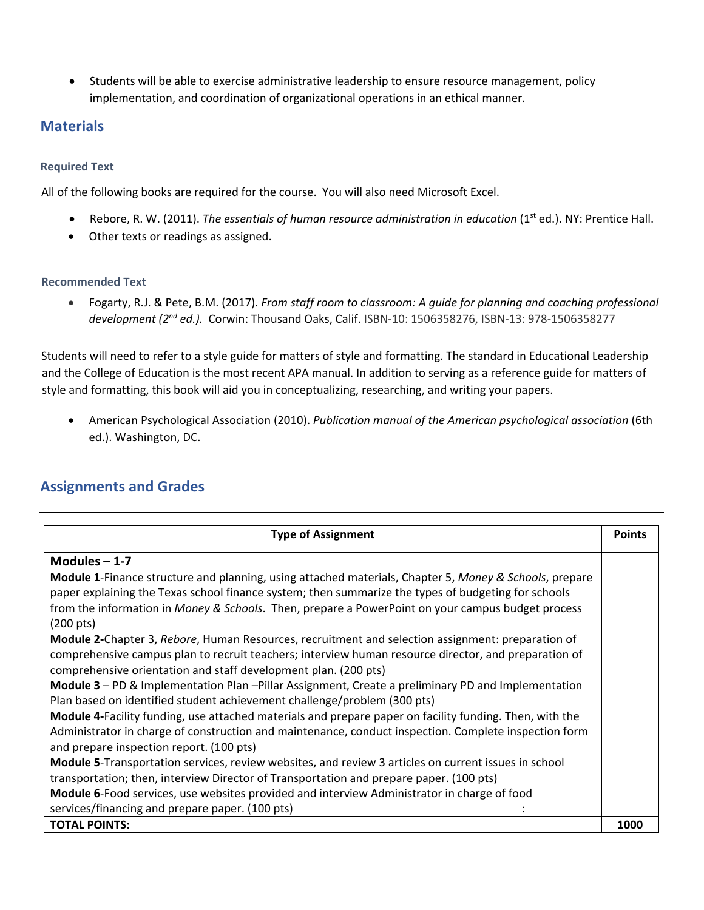Students will be able to exercise administrative leadership to ensure resource management, policy implementation, and coordination of organizational operations in an ethical manner.

# **Materials**

#### **Required Text**

All of the following books are required for the course. You will also need Microsoft Excel.

- Rebore, R. W. (2011). *The essentials of human resource administration in education* (1st ed.). NY: Prentice Hall.
- Other texts or readings as assigned.

#### **Recommended Text**

 Fogarty, R.J. & Pete, B.M. (2017). *From staff room to classroom: A guide for planning and coaching professional development (2nd ed.).* Corwin: Thousand Oaks, Calif. ISBN‐10: 1506358276, ISBN‐13: 978‐1506358277

Students will need to refer to a style guide for matters of style and formatting. The standard in Educational Leadership and the College of Education is the most recent APA manual. In addition to serving as a reference guide for matters of style and formatting, this book will aid you in conceptualizing, researching, and writing your papers.

 American Psychological Association (2010). *Publication manual of the American psychological association* (6th ed.). Washington, DC.

# **Assignments and Grades**

| <b>Type of Assignment</b>                                                                               | <b>Points</b> |
|---------------------------------------------------------------------------------------------------------|---------------|
| Modules $-1-7$                                                                                          |               |
| Module 1-Finance structure and planning, using attached materials, Chapter 5, Money & Schools, prepare  |               |
| paper explaining the Texas school finance system; then summarize the types of budgeting for schools     |               |
| from the information in Money & Schools. Then, prepare a PowerPoint on your campus budget process       |               |
| $(200 \text{ pts})$                                                                                     |               |
| Module 2-Chapter 3, Rebore, Human Resources, recruitment and selection assignment: preparation of       |               |
| comprehensive campus plan to recruit teachers; interview human resource director, and preparation of    |               |
| comprehensive orientation and staff development plan. (200 pts)                                         |               |
| Module 3 - PD & Implementation Plan -Pillar Assignment, Create a preliminary PD and Implementation      |               |
| Plan based on identified student achievement challenge/problem (300 pts)                                |               |
| Module 4-Facility funding, use attached materials and prepare paper on facility funding. Then, with the |               |
| Administrator in charge of construction and maintenance, conduct inspection. Complete inspection form   |               |
| and prepare inspection report. (100 pts)                                                                |               |
| Module 5-Transportation services, review websites, and review 3 articles on current issues in school    |               |
| transportation; then, interview Director of Transportation and prepare paper. (100 pts)                 |               |
| Module 6-Food services, use websites provided and interview Administrator in charge of food             |               |
| services/financing and prepare paper. (100 pts)                                                         |               |
| <b>TOTAL POINTS:</b>                                                                                    | 1000          |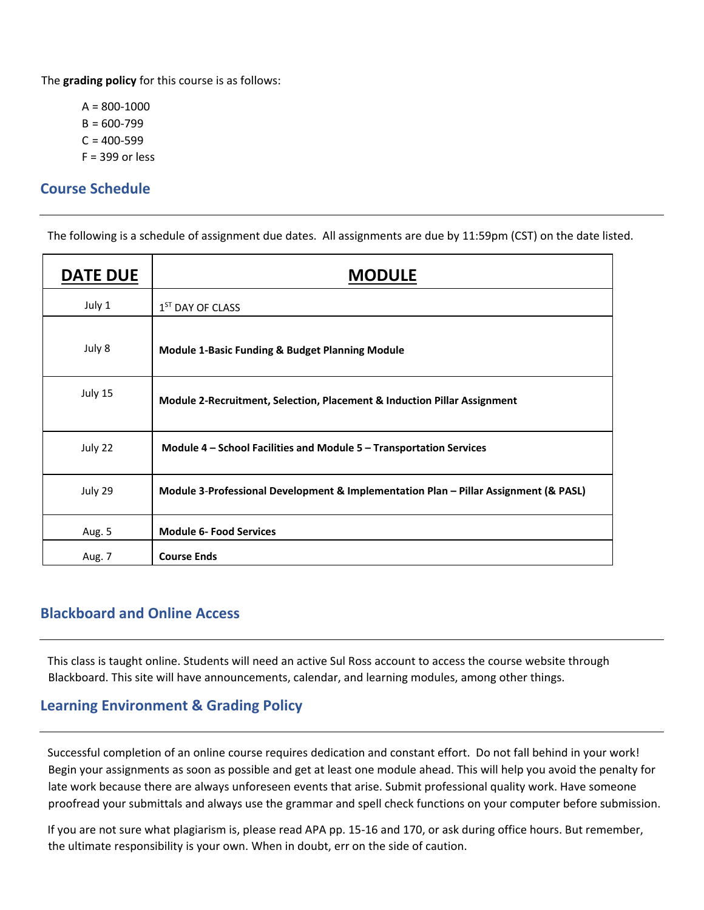The **grading policy** for this course is as follows:

 $A = 800 - 1000$  $B = 600 - 799$  $C = 400 - 599$  $F = 399$  or less

## **Course Schedule**

The following is a schedule of assignment due dates. All assignments are due by 11:59pm (CST) on the date listed.

| <b>DATE DUE</b> | <b>MODULE</b>                                                                        |
|-----------------|--------------------------------------------------------------------------------------|
| July 1          | 1 <sup>ST</sup> DAY OF CLASS                                                         |
| July 8          | Module 1-Basic Funding & Budget Planning Module                                      |
| July 15         | Module 2-Recruitment, Selection, Placement & Induction Pillar Assignment             |
| July 22         | Module 4 – School Facilities and Module 5 – Transportation Services                  |
| July 29         | Module 3-Professional Development & Implementation Plan - Pillar Assignment (& PASL) |
| Aug. 5          | <b>Module 6- Food Services</b>                                                       |
| Aug. 7          | <b>Course Ends</b>                                                                   |

## **Blackboard and Online Access**

This class is taught online. Students will need an active Sul Ross account to access the course website through Blackboard. This site will have announcements, calendar, and learning modules, among other things.

# **Learning Environment & Grading Policy**

Successful completion of an online course requires dedication and constant effort. Do not fall behind in your work! Begin your assignments as soon as possible and get at least one module ahead. This will help you avoid the penalty for late work because there are always unforeseen events that arise. Submit professional quality work. Have someone proofread your submittals and always use the grammar and spell check functions on your computer before submission.

If you are not sure what plagiarism is, please read APA pp. 15‐16 and 170, or ask during office hours. But remember, the ultimate responsibility is your own. When in doubt, err on the side of caution.